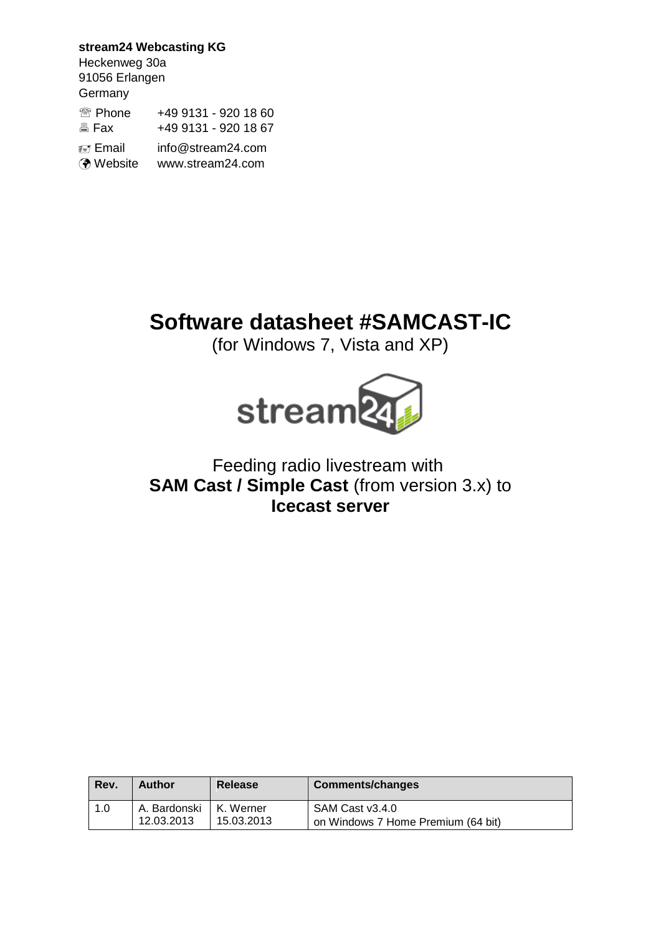**stream24 Webcasting KG** Heckenweg 30a 91056 Erlangen **Germany** <sup>2</sup> Phone +49 9131 - 920 18 60 **图 Fax +49 9131 - 920 18 67 Email** info@stream24.com Website www.stream24.com

# **Software datasheet #SAMCAST-IC**

(for Windows 7, Vista and XP)



# Feeding radio livestream with **SAM Cast / Simple Cast (from version 3.x) to Icecast server**

| Rev. | <b>Author</b> | <b>Release</b> | <b>Comments/changes</b>            |
|------|---------------|----------------|------------------------------------|
| 1.0  | A. Bardonski  | I K. Werner    | SAM Cast v3.4.0                    |
|      | 12.03.2013    | 15.03.2013     | on Windows 7 Home Premium (64 bit) |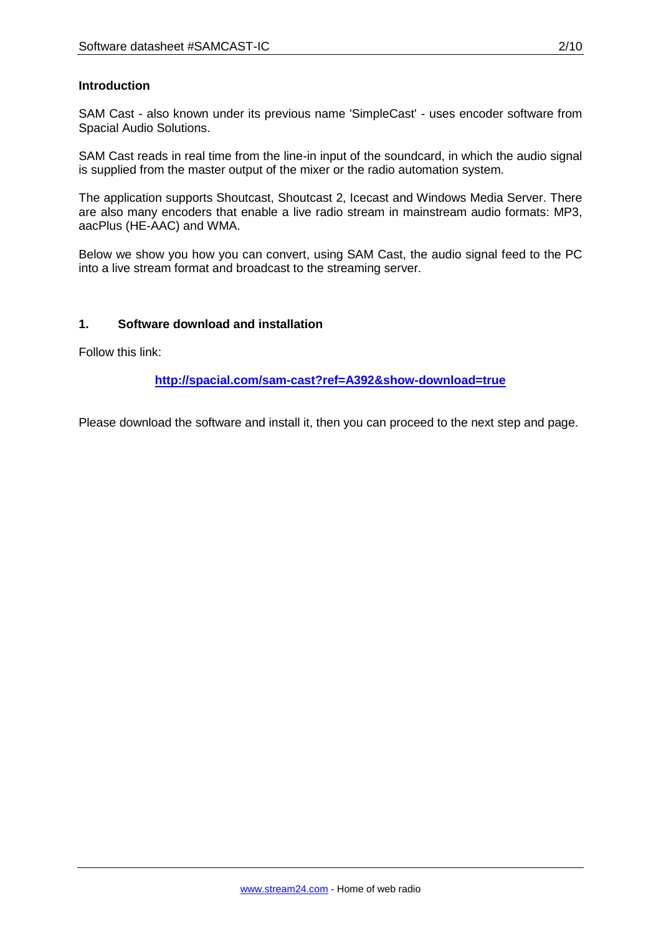#### **Introduction**

SAM Cast - also known under its previous name 'SimpleCast' - uses encoder software from Spacial Audio Solutions.

SAM Cast reads in real time from the line-in input of the soundcard, in which the audio signal is supplied from the master output of the mixer or the radio automation system.

The application supports Shoutcast, Shoutcast 2, Icecast and Windows Media Server. There are also many encoders that enable a live radio stream in mainstream audio formats: MP3, aacPlus (HE-AAC) and WMA.

Below we show you how you can convert, using SAM Cast, the audio signal feed to the PC into a live stream format and broadcast to the streaming server.

#### **1. Software download and installation**

Follow this link:

**http://spacial.com/sam-cast?ref=A392&show-download=true**

Please download the software and install it, then you can proceed to the next step and page.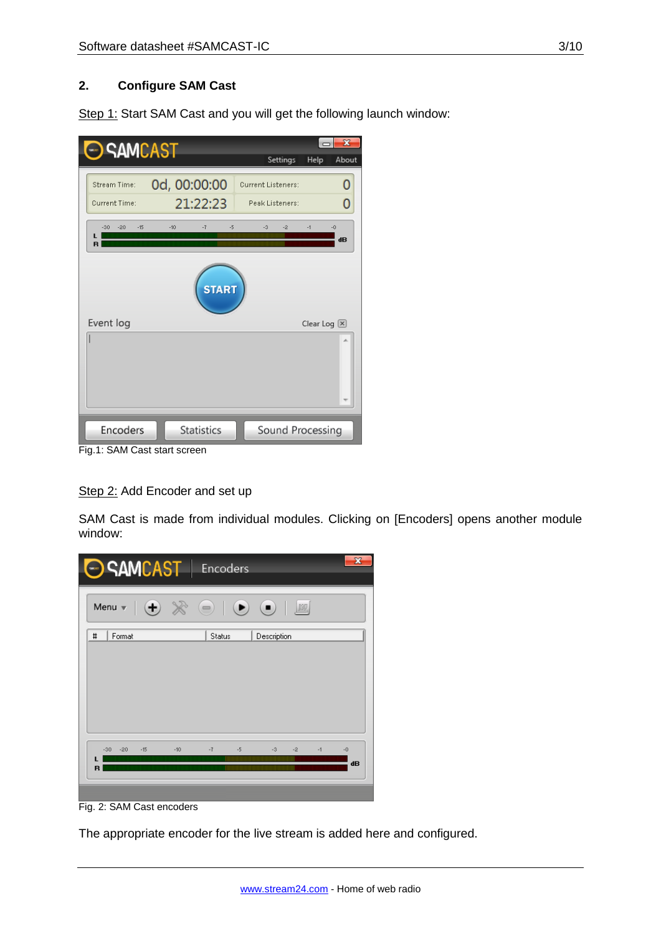#### **2. Configure SAM Cast**

Step 1: Start SAM Cast and you will get the following launch window:

| <b>SAMCAST</b>                                  |                                   | Settings                              | $\mathbf x$<br>Help<br>About |
|-------------------------------------------------|-----------------------------------|---------------------------------------|------------------------------|
| Stream Time:                                    | 0d, 00:00:00                      | <b>Current Listeners:</b>             | 0                            |
| <b>Current Time:</b><br>$-30$<br>$-20$<br>$-15$ | 21:22:23<br>$-10$<br>$-7$<br>$-5$ | Peak Listeners:<br>$-3$<br>-2<br>$-1$ | 0<br>$-0$                    |
|                                                 |                                   |                                       | dB                           |
|                                                 | <b>START</b>                      |                                       |                              |
| Event log                                       |                                   |                                       | Clear Log $\boxtimes$        |
|                                                 |                                   |                                       |                              |
| Encoders                                        | <b>Statistics</b>                 | Sound Processing                      |                              |

Fig.1: SAM Cast start screen

Step 2: Add Encoder and set up

SAM Cast is made from individual modules. Clicking on [Encoders] opens another module window:



Fig. 2: SAM Cast encoders

The appropriate encoder for the live stream is added here and configured.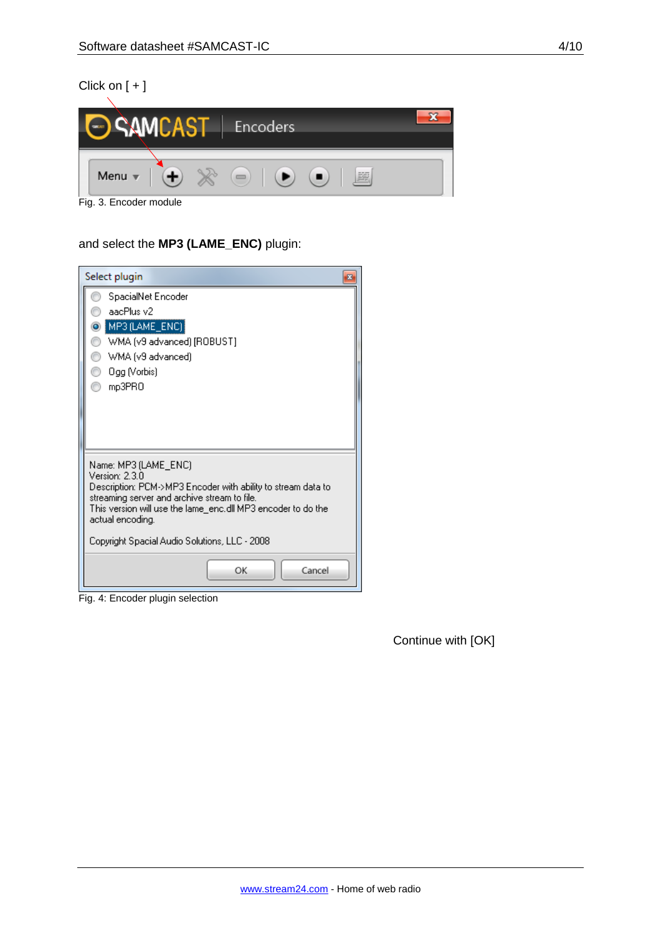# Click on [ + ]



Fig. 3. Encoder module

# and select the **MP3 (LAME\_ENC)** plugin:

| Select plugin<br>$\mathbf{z}$                                                                                                                                                                                                                                                               |
|---------------------------------------------------------------------------------------------------------------------------------------------------------------------------------------------------------------------------------------------------------------------------------------------|
| SpacialNet Encoder<br>aacPlus v2<br>MP3 (LAME_ENC)<br>WMA (v9 advanced) [ROBUST]<br>WMA (v9 advanced)<br>8<br>∩<br>Ogg (Vorbis)<br>mp3PRO                                                                                                                                                   |
| Name: MP3 (LAME_ENC)<br>Version: 2.3.0<br>Description: PCM->MP3 Encoder with ability to stream data to<br>streaming server and archive stream to file.<br>This version will use the lame_enc.dll MP3 encoder to do the<br>actual encoding.<br>Copyright Spacial Audio Solutions, LLC - 2008 |
| ОΚ<br>Cancel                                                                                                                                                                                                                                                                                |

Fig. 4: Encoder plugin selection

Continue with [OK]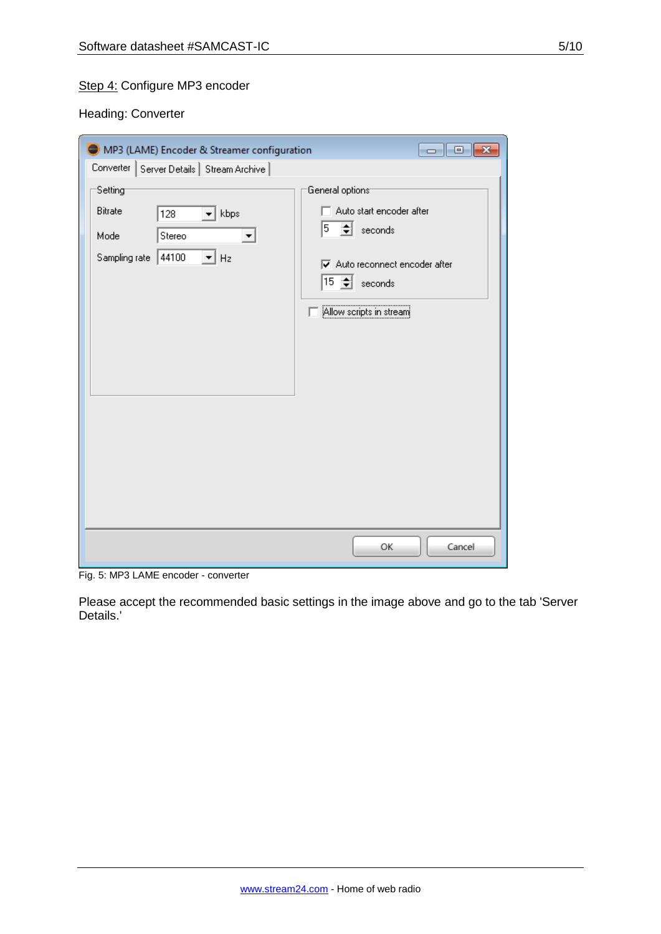# Step 4: Configure MP3 encoder

Heading: Converter

| MP3 (LAME) Encoder & Streamer configuration                                                                      | $\overline{\mathbf{x}}$<br>-- -                                                                                                                                      |
|------------------------------------------------------------------------------------------------------------------|----------------------------------------------------------------------------------------------------------------------------------------------------------------------|
| Converter   Server Details   Stream Archive                                                                      |                                                                                                                                                                      |
| Setting<br>Bitrate<br>$\blacktriangleright$ kbps<br>128<br>Stereo<br>Mode<br>Sampling rate<br> 44100<br>Hz<br>▾╎ | General options <sup>-</sup><br>Auto start encoder after<br>$5 \div \sec$ seconds<br>Auto reconnect encoder after<br>$15 \div \;$ seconds<br>Allow scripts in stream |
|                                                                                                                  | OK<br>Cancel                                                                                                                                                         |

Fig. 5: MP3 LAME encoder - converter

Please accept the recommended basic settings in the image above and go to the tab 'Server Details.'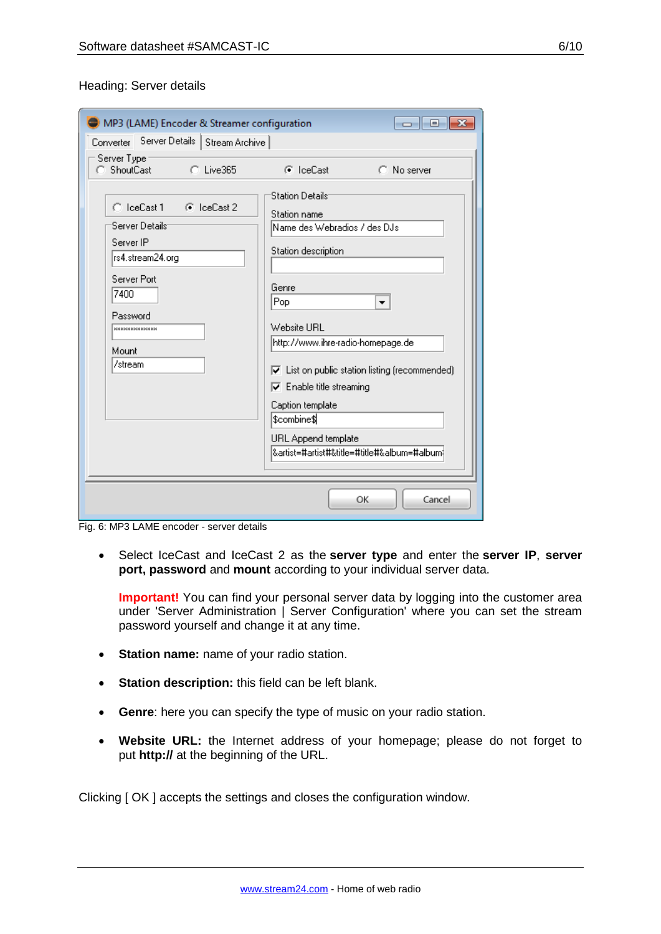#### Heading: Server details

| MP3 (LAME) Encoder & Streamer configuration                                                                                                                         | 回<br>--                                                                                                                                                                                                                                                                                                                                                                                                        |
|---------------------------------------------------------------------------------------------------------------------------------------------------------------------|----------------------------------------------------------------------------------------------------------------------------------------------------------------------------------------------------------------------------------------------------------------------------------------------------------------------------------------------------------------------------------------------------------------|
| Converter Server Details<br>Stream Archive                                                                                                                          |                                                                                                                                                                                                                                                                                                                                                                                                                |
| Server Type<br>C ShoutCast<br>C Live365                                                                                                                             | C IceCast<br>C No server                                                                                                                                                                                                                                                                                                                                                                                       |
| C IceCast 1<br>— G IceCast 2<br>'Server Details'<br>Server IP<br>lrs4.stream24.org<br>Server Port<br>7400<br>Password<br><b>xxxxxxxxxxxxx</b><br>Mount<br>l/stream. | <b>Station Details</b><br>Station name<br>Name des Webradios / des DJs<br>Station description<br>Genre<br>Pop<br>▼<br>Website URL<br>http://www.ihre-radio-homepage.de<br>$\overline{\blacktriangledown}$ List on public station listing (recommended)<br>$\overline{\nabla}$ Enable title streaming<br>Caption template<br>\$combine\$<br>URL Append template<br> &artist=#artist#&title=#title#&album=#album |
|                                                                                                                                                                     | OK<br>Cancel                                                                                                                                                                                                                                                                                                                                                                                                   |

Fig. 6: MP3 LAME encoder - server details

 Select IceCast and IceCast 2 as the **server type** and enter the **server IP**, **server port, password** and **mount** according to your individual server data.

**Important!** You can find your personal server data by logging into the customer area under 'Server Administration | Server Configuration' where you can set the stream password yourself and change it at any time.

- **Station name:** name of your radio station.
- **Station description:** this field can be left blank.
- **Genre**: here you can specify the type of music on your radio station.
- **Website URL:** the Internet address of your homepage; please do not forget to put **http://** at the beginning of the URL.

Clicking [ OK ] accepts the settings and closes the configuration window.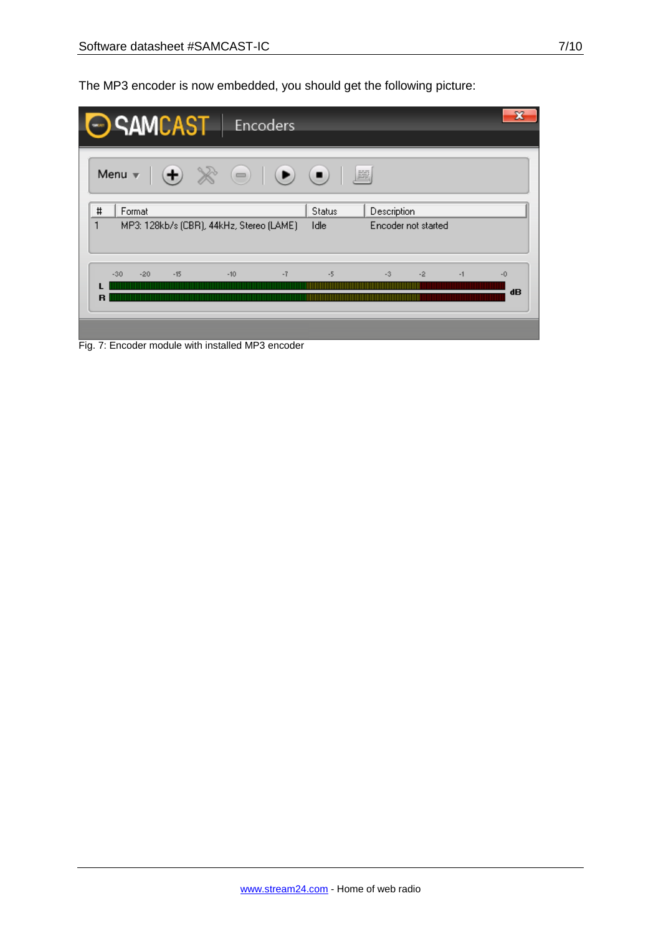The MP3 encoder is now embedded, you should get the following picture:

|                          | SAMCAST   Encoders |       |  |       |                                          |                                                                   |                                    |      |      |            |
|--------------------------|--------------------|-------|--|-------|------------------------------------------|-------------------------------------------------------------------|------------------------------------|------|------|------------|
|                          |                    |       |  |       |                                          | Menu $\mathbf{v} \mid (\mathbf{+}) \times \rightarrow \mathbb{R}$ |                                    |      |      |            |
| $\sharp$<br>$\mathbf{1}$ | Format             |       |  |       | MP3: 128kb/s (CBR), 44kHz, Stereo (LAME) | <b>Status</b><br>Idle                                             | Description<br>Encoder not started |      |      |            |
| R                        | $-30$<br>$-20$     | $-15$ |  | $-10$ | $-7$                                     | $-5$                                                              | $-3$                               | $-2$ | $-1$ | $-0$<br>dB |

Fig. 7: Encoder module with installed MP3 encoder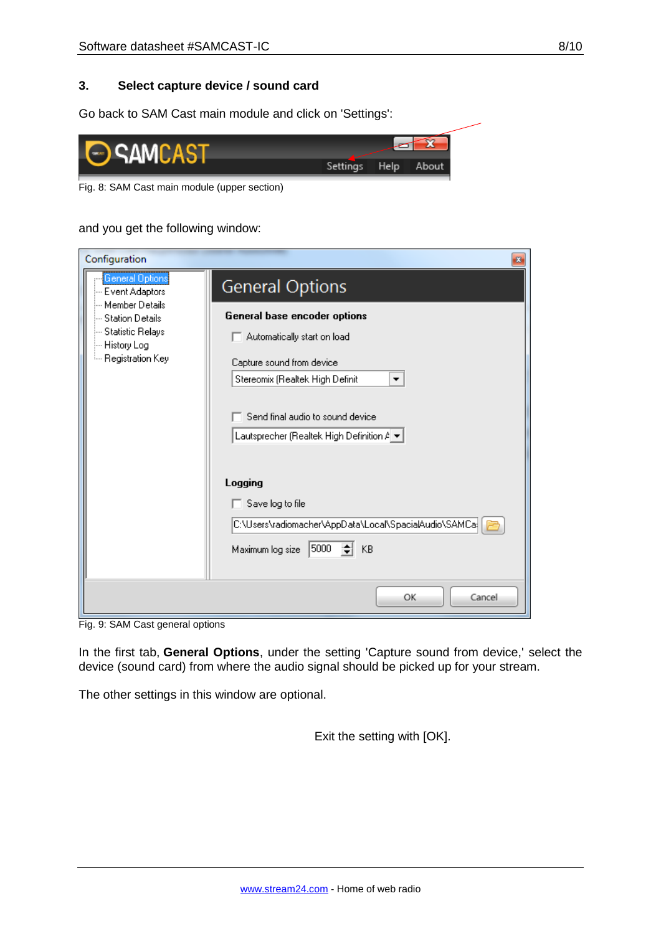Go back to SAM Cast main module and click on 'Settings':



Fig. 8: SAM Cast main module (upper section)

and you get the following window:

| Configuration                                                                                             | $\mathbf{x}$                                                                                                                                                                                                        |
|-----------------------------------------------------------------------------------------------------------|---------------------------------------------------------------------------------------------------------------------------------------------------------------------------------------------------------------------|
| <b>General Options</b><br>-- Event Adaptors                                                               | <b>General Options</b>                                                                                                                                                                                              |
| --- Member Details<br>--- Station Details<br>- Statistic Relays<br>- History Log<br>ille Registration Key | General base encoder options<br>Automatically start on load<br>Capture sound from device<br>Stereomix (Realtek High Definit<br>▼<br>Send final audio to sound device<br>Lautsprecher (Realtek High Definition $A =$ |
|                                                                                                           | Logging<br>Save log to file<br>C:\Users\radiomacher\AppData\Local\SpacialAudio\SAMCa<br>5000<br>≑  KB<br>Maximum log size                                                                                           |
|                                                                                                           | OK<br>Cancel                                                                                                                                                                                                        |

Fig. 9: SAM Cast general options

In the first tab, **General Options**, under the setting 'Capture sound from device,' select the device (sound card) from where the audio signal should be picked up for your stream.

The other settings in this window are optional.

Exit the setting with [OK].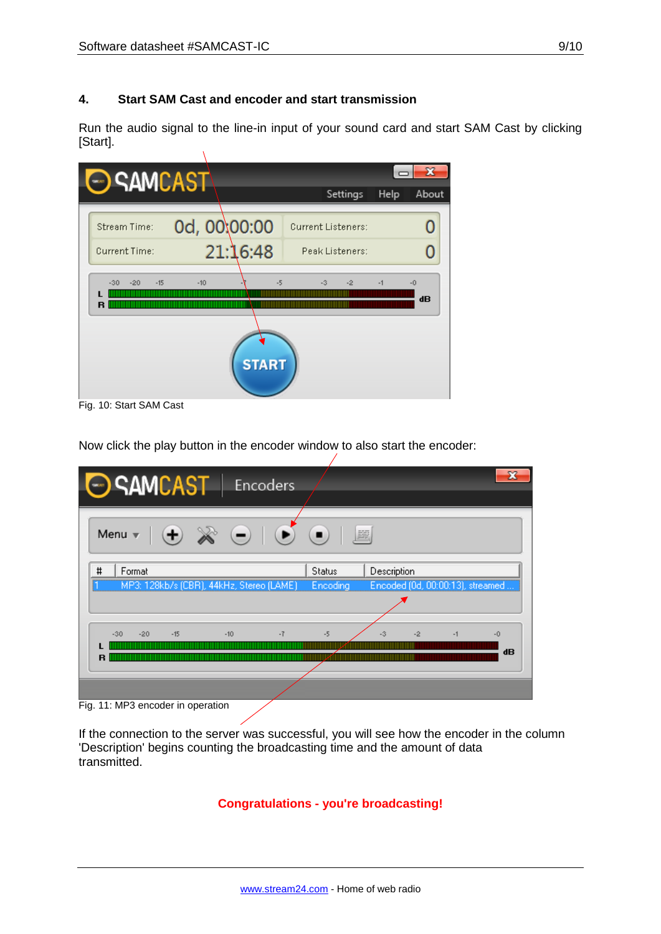#### **4. Start SAM Cast and encoder and start transmission**

Run the audio signal to the line-in input of your sound card and start SAM Cast by clicking [Start].  $\bar{\Lambda}$ 

| <b>SAMCAST</b>               |               |                           |      |            |
|------------------------------|---------------|---------------------------|------|------------|
|                              |               | Settings                  | Help | About      |
| Stream Time:                 | 0d, 00:00:00  | <b>Current Listeners:</b> |      |            |
| Current Time:                | 21:16:48      | Peak Listeners:           |      |            |
| $-15$<br>$-20$<br>$-30$<br>R | $-10$<br>$-5$ | $-2$<br>$-3$              | $-1$ | $-0$<br>dB |
|                              | <b>START</b>  |                           |      |            |
| Fig. 10: Start SAM Cast      |               |                           |      |            |

Now click the play button in the encoder window to also start the encoder:

| SAMCAST   Encoders                                                              |               |                                  |      |      |
|---------------------------------------------------------------------------------|---------------|----------------------------------|------|------|
| $\bullet \quad \bullet \quad \bullet$<br>$\Theta \times \Theta$<br>Menu $\vert$ | 圖             |                                  |      |      |
| #<br>Format                                                                     | <b>Status</b> | Description                      |      |      |
| MP3: 128kb/s (CBR), 44kHz, Stereo (LAME)                                        | Encoding      | Encoded (0d, 00:00:13), streamed |      |      |
|                                                                                 |               |                                  |      |      |
|                                                                                 |               |                                  |      |      |
| $-7$<br>$-15$<br>$-10$<br>$-30$<br>$-20$                                        | $-5$          | -2<br>$-3$                       | $-1$ | $-0$ |
|                                                                                 |               |                                  |      | dB   |
| R                                                                               |               |                                  |      |      |
|                                                                                 |               |                                  |      |      |
|                                                                                 |               |                                  |      |      |
| $Fin$ 11: MD3 ancoder in operation                                              |               |                                  |      |      |

Fig. 11: MP3 encoder in operation

If the connection to the server was successful, you will see how the encoder in the column 'Description' begins counting the broadcasting time and the amount of data transmitted.

**Congratulations - you're broadcasting!**